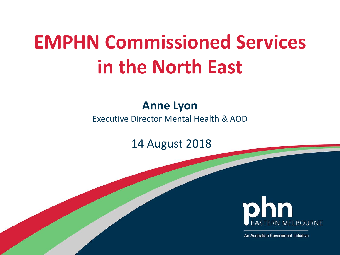# **EMPHN Commissioned Services in the North East**

### **Anne Lyon**

Executive Director Mental Health & AOD

14 August 2018



An Australian Government Initiative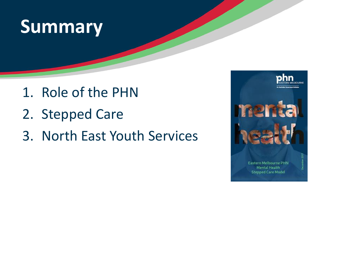## **Summary**

- 1. Role of the PHN
- 2. Stepped Care
- 3. North East Youth Services

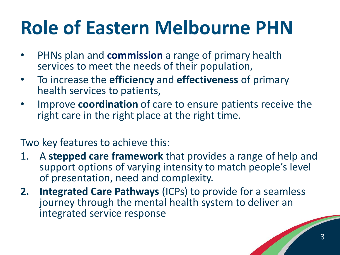# **Role of Eastern Melbourne PHN**

- PHNs plan and **commission** a range of primary health services to meet the needs of their population,
- To increase the **efficiency** and **effectiveness** of primary health services to patients,
- Improve **coordination** of care to ensure patients receive the right care in the right place at the right time.

Two key features to achieve this:

- 1. A **stepped care framework** that provides a range of help and support options of varying intensity to match people's level of presentation, need and complexity.
- **2. Integrated Care Pathways** (ICPs) to provide for a seamless journey through the mental health system to deliver an integrated service response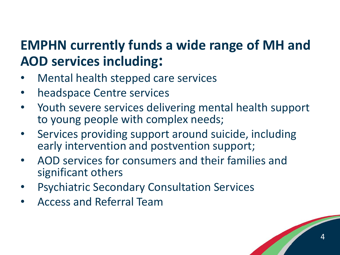## **EMPHN currently funds a wide range of MH and AOD services including:**

- Mental health stepped care services
- headspace Centre services
- Youth severe services delivering mental health support to young people with complex needs;
- Services providing support around suicide, including early intervention and postvention support;
- AOD services for consumers and their families and significant others
- Psychiatric Secondary Consultation Services
- Access and Referral Team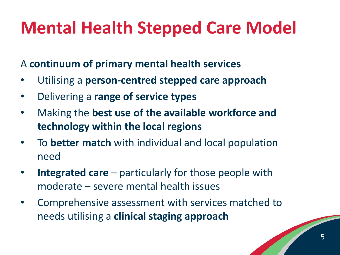## **Mental Health Stepped Care Model**

A **continuum of primary mental health services**

- Utilising a **person-centred stepped care approach**
- Delivering a **range of service types**
- Making the **best use of the available workforce and technology within the local regions**
- To **better match** with individual and local population need
- **Integrated care**  particularly for those people with moderate – severe mental health issues
- Comprehensive assessment with services matched to needs utilising a **clinical staging approach**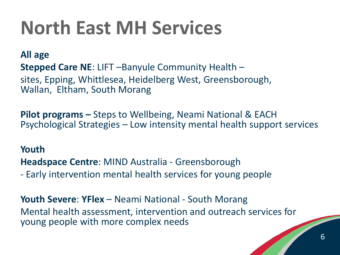# **North East MH Services**

**All age Stepped Care NE**: LIFT –Banyule Community Health – sites, Epping, Whittlesea, Heidelberg West, Greensborough, Wallan, Eltham, South Morang

**Pilot programs –** Steps to Wellbeing, Neami National & EACH Psychological Strategies – Low intensity mental health support services

#### **Youth**

**Headspace Centre**: MIND Australia - Greensborough

- Early intervention mental health services for young people

**Youth Severe**: **YFlex** – Neami National - South Morang Mental health assessment, intervention and outreach services for young people with more complex needs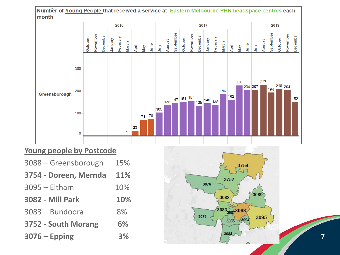

#### **Young people by Postcode**

| 3088 - Greensborough    | 15% |
|-------------------------|-----|
| 3754 - Doreen, Mernda   | 11% |
| $3095 - Eltham$         | 10% |
| <b>3082 - Mill Park</b> | 10% |
| 3083 - Bundoora         | 8%  |
| 3752 - South Morang     | 6%  |
| $3076 -$ Epping         | 3%  |

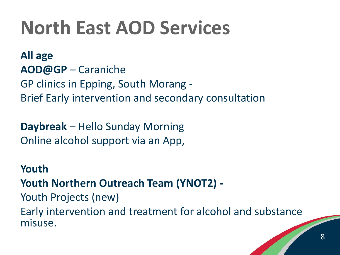## **North East AOD Services**

**All age AOD@GP** – Caraniche GP clinics in Epping, South Morang - Brief Early intervention and secondary consultation

**Daybreak** – Hello Sunday Morning Online alcohol support via an App,

**Youth Youth Northern Outreach Team (YNOT2) -** Youth Projects (new) Early intervention and treatment for alcohol and substance misuse.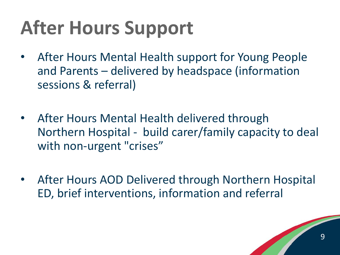# **After Hours Support**

- After Hours Mental Health support for Young People and Parents – delivered by headspace (information sessions & referral)
- After Hours Mental Health delivered through Northern Hospital - build carer/family capacity to deal with non-urgent "crises"
- After Hours AOD Delivered through Northern Hospital ED, brief interventions, information and referral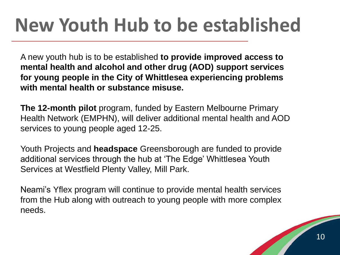# **New Youth Hub to be established**

A new youth hub is to be established **to provide improved access to mental health and alcohol and other drug (AOD) support services for young people in the City of Whittlesea experiencing problems with mental health or substance misuse.**

**The 12-month pilot** program, funded by Eastern Melbourne Primary Health Network (EMPHN), will deliver additional mental health and AOD services to young people aged 12-25.

Youth Projects and **headspace** Greensborough are funded to provide additional services through the hub at 'The Edge' Whittlesea Youth Services at Westfield Plenty Valley, Mill Park.

Neami's Yflex program will continue to provide mental health services from the Hub along with outreach to young people with more complex needs.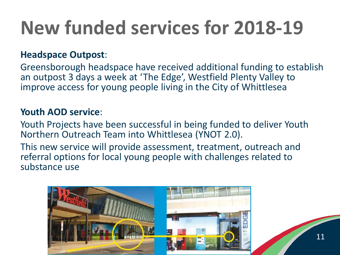# **New funded services for 2018-19**

#### **Headspace Outpost**:

Greensborough headspace have received additional funding to establish an outpost 3 days a week at 'The Edge', Westfield Plenty Valley to improve access for young people living in the City of Whittlesea

#### **Youth AOD service**:

Youth Projects have been successful in being funded to deliver Youth Northern Outreach Team into Whittlesea (YNOT 2.0).

This new service will provide assessment, treatment, outreach and referral options for local young people with challenges related to substance use

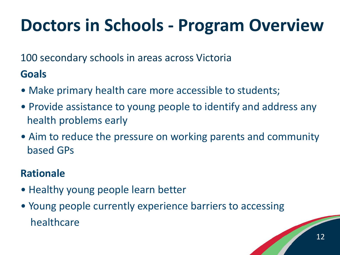## **Doctors in Schools - Program Overview**

100 secondary schools in areas across Victoria

### **Goals**

- Make primary health care more accessible to students;
- Provide assistance to young people to identify and address any health problems early
- Aim to reduce the pressure on working parents and community based GPs

### **Rationale**

- Healthy young people learn better
- Young people currently experience barriers to accessing healthcare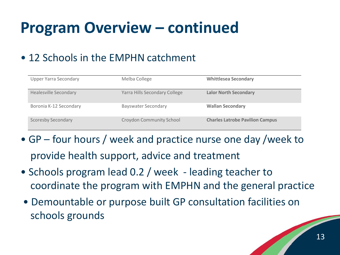## **Program Overview – continued**

### • 12 Schools in the EMPHN catchment

| <b>Upper Yarra Secondary</b> | Melba College                   | <b>Whittlesea Secondary</b>            |
|------------------------------|---------------------------------|----------------------------------------|
| <b>Healesville Secondary</b> | Yarra Hills Secondary College   | <b>Lalor North Secondary</b>           |
| Boronia K-12 Secondary       | <b>Bayswater Secondary</b>      | <b>Wallan Secondary</b>                |
| <b>Scoresby Secondary</b>    | <b>Croydon Community School</b> | <b>Charles Latrobe Pavilion Campus</b> |

- GP four hours / week and practice nurse one day /week to provide health support, advice and treatment
- Schools program lead 0.2 / week leading teacher to coordinate the program with EMPHN and the general practice
- Demountable or purpose built GP consultation facilities on schools grounds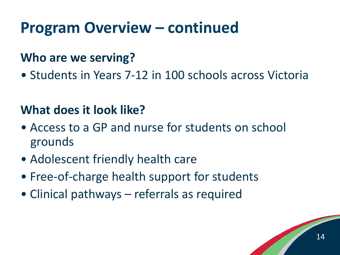## **Program Overview – continued**

### **Who are we serving?**

• Students in Years 7-12 in 100 schools across Victoria

## **What does it look like?**

- Access to a GP and nurse for students on school grounds
- Adolescent friendly health care
- Free-of-charge health support for students
- Clinical pathways referrals as required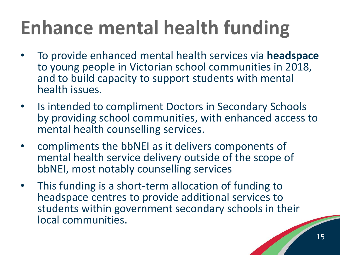# **Enhance mental health funding**

- To provide enhanced mental health services via **headspace** to young people in Victorian school communities in 2018, and to build capacity to support students with mental health issues.
- Is intended to compliment Doctors in Secondary Schools by providing school communities, with enhanced access to mental health counselling services.
- compliments the bbNEI as it delivers components of mental health service delivery outside of the scope of bbNEI, most notably counselling services
- This funding is a short-term allocation of funding to headspace centres to provide additional services to students within government secondary schools in their local communities.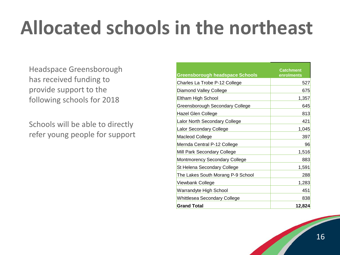# **Allocated schools in the northeast**

Headspace Greensborough has received funding to provide support to the following schools for 2018

Schools will be able to directly refer young people for support

| <b>Greensborough headspace Schools</b> | Catchment<br>enrolments |
|----------------------------------------|-------------------------|
| Charles La Trobe P-12 College          | 527                     |
| Diamond Valley College                 | 675                     |
| Eltham High School                     | 1,357                   |
| Greensborough Secondary College        | 645                     |
| Hazel Glen College                     | 813                     |
| Lalor North Secondary College          | 421                     |
| Lalor Secondary College                | 1,045                   |
| <b>Macleod College</b>                 | 397                     |
| Mernda Central P-12 College            | 96                      |
| Mill Park Secondary College            | 1,516                   |
| <b>Montmorency Secondary College</b>   | 883                     |
| St Helena Secondary College            | 1,591                   |
| The Lakes South Morang P-9 School      | 288                     |
| Viewbank College                       | 1,283                   |
| Warrandyte High School                 | 451                     |
| Whittlesea Secondary College           | 838                     |
| <b>Grand Total</b>                     | 12,824                  |